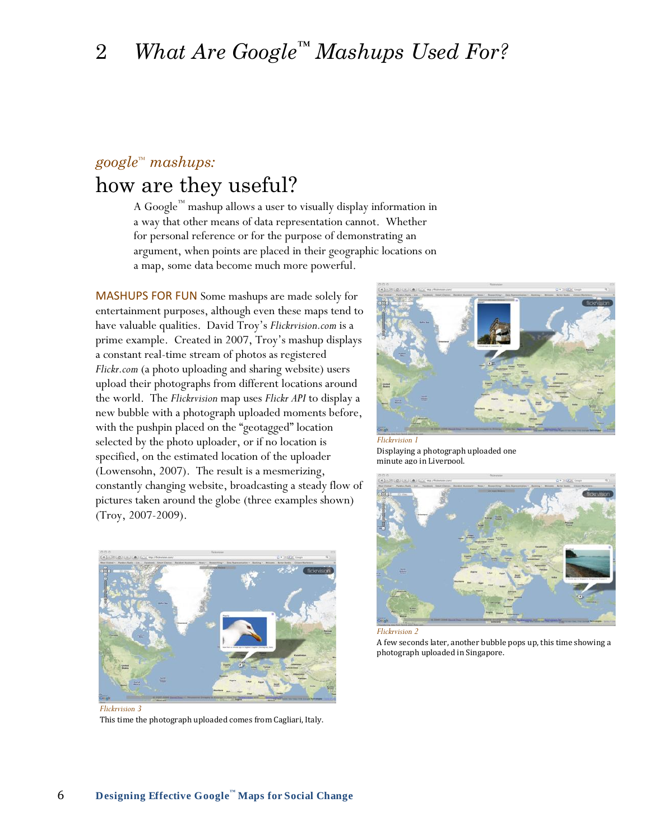# *google™ mashups:*

## how are they useful?

A Google $^{\text{\tiny{\rm{TM}}}}$  mashup allows a user to visually display information in a way that other means of data representation cannot. Whether for personal reference or for the purpose of demonstrating an argument, when points are placed in their geographic locations on a map, some data become much more powerful.

MASHUPS FOR FUN Some mashups are made solely for entertainment purposes, although even these maps tend to have valuable qualities. David Troy"s *Flickrvision.com* is a prime example. Created in 2007, Troy"s mashup displays a constant real-time stream of photos as registered *Flickr.com* (a photo uploading and sharing website) users upload their photographs from different locations around the world. The *Flickrvision* map uses *Flickr API* to display a new bubble with a photograph uploaded moments before, with the pushpin placed on the "geotagged" location selected by the photo uploader, or if no location is specified, on the estimated location of the uploader (Lowensohn, 2007). The result is a mesmerizing, constantly changing website, broadcasting a steady flow of pictures taken around the globe (three examples shown) (Troy, 2007-2009).



*Flickrvision 3* This time the photograph uploaded comes from Cagliari, Italy.



Displaying a photograph uploaded one minute ago in Livernool.



*Flickrvision 2*

A few seconds later, another bubble pops up, this time showing a photograph uploaded in Singapore.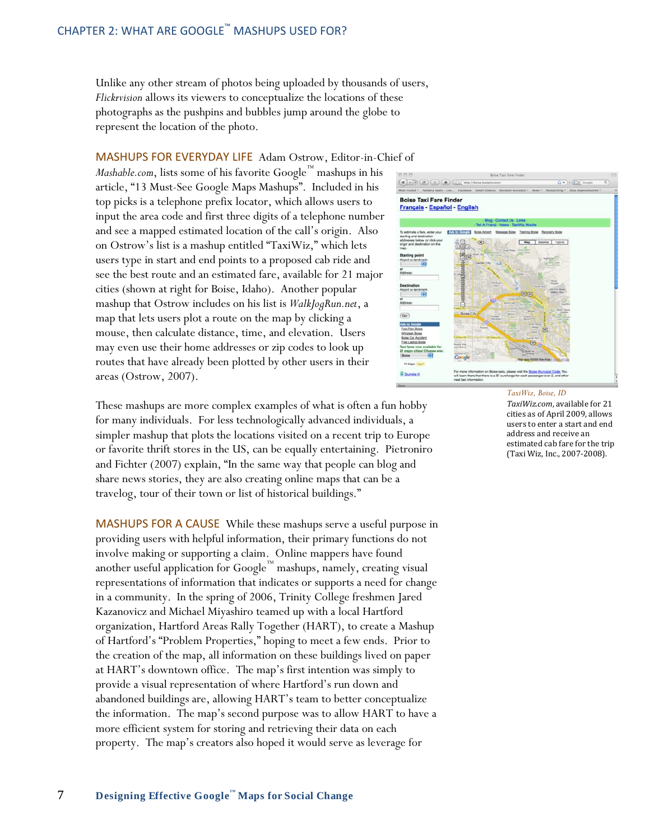Unlike any other stream of photos being uploaded by thousands of users, *Flickrvision* allows its viewers to conceptualize the locations of these photographs as the pushpins and bubbles jump around the globe to represent the location of the photo.

## MASHUPS FOR EVERYDAY LIFE Adam Ostrow, Editor-in-Chief of

*Mashable.com*, lists some of his favorite Google™ mashups in his article, "13 Must-See Google Maps Mashups". Included in his top picks is a telephone prefix locator, which allows users to input the area code and first three digits of a telephone number and see a mapped estimated location of the call's origin. Also on Ostrow"s list is a mashup entitled "TaxiWiz," which lets users type in start and end points to a proposed cab ride and see the best route and an estimated fare, available for 21 major cities (shown at right for Boise, Idaho). Another popular mashup that Ostrow includes on his list is *WalkJogRun.net*, a map that lets users plot a route on the map by clicking a mouse, then calculate distance, time, and elevation. Users may even use their home addresses or zip codes to look up routes that have already been plotted by other users in their areas (Ostrow, 2007).



MASHUPS FOR A CAUSE While these mashups serve a useful purpose in providing users with helpful information, their primary functions do not involve making or supporting a claim. Online mappers have found another useful application for Google™ mashups, namely, creating visual representations of information that indicates or supports a need for change in a community. In the spring of 2006, Trinity College freshmen Jared Kazanovicz and Michael Miyashiro teamed up with a local Hartford organization, Hartford Areas Rally Together (HART), to create a Mashup of Hartford"s "Problem Properties," hoping to meet a few ends. Prior to the creation of the map, all information on these buildings lived on paper at HART"s downtown office. The map"s first intention was simply to provide a visual representation of where Hartford"s run down and abandoned buildings are, allowing HART"s team to better conceptualize the information. The map"s second purpose was to allow HART to have a more efficient system for storing and retrieving their data on each property. The map"s creators also hoped it would serve as leverage for



### *TaxiWiz, Boise, ID*

*TaxiWiz.com*, available for 21 cities as of April 2009, allows users to enter a start and end address and receive an estimated cab fare for the trip (Taxi Wiz, Inc., 2007-2008).